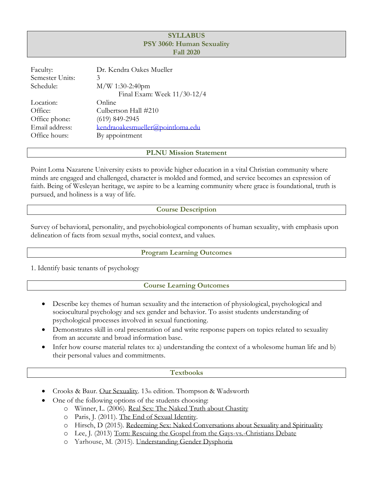# **SYLLABUS PSY 3060: Human Sexuality Fall 2020**

| Faculty:        | Dr. Kendra Oakes Mueller         |  |  |  |
|-----------------|----------------------------------|--|--|--|
| Semester Units: | 3                                |  |  |  |
| Schedule:       | M/W 1:30-2:40pm                  |  |  |  |
|                 | Final Exam: Week 11/30-12/4      |  |  |  |
| Location:       | Online                           |  |  |  |
| Office:         | Culbertson Hall #210             |  |  |  |
| Office phone:   | $(619)$ 849-2945                 |  |  |  |
| Email address:  | kendraoakesmueller@pointloma.edu |  |  |  |
| Office hours:   | By appointment                   |  |  |  |

**PLNU Mission Statement**

Point Loma Nazarene University exists to provide higher education in a vital Christian community where minds are engaged and challenged, character is molded and formed, and service becomes an expression of faith. Being of Wesleyan heritage, we aspire to be a learning community where grace is foundational, truth is pursued, and holiness is a way of life.

# **Course Description**

Survey of behavioral, personality, and psychobiological components of human sexuality, with emphasis upon delineation of facts from sexual myths, social context, and values.

## **Program Learning Outcomes**

1. Identify basic tenants of psychology

# **Course Learning Outcomes**

- Describe key themes of human sexuality and the interaction of physiological, psychological and sociocultural psychology and sex gender and behavior. To assist students understanding of psychological processes involved in sexual functioning.
- Demonstrates skill in oral presentation of and write response papers on topics related to sexuality from an accurate and broad information base.
- Infer how course material relates to: a) understanding the context of a wholesome human life and b) their personal values and commitments.

## **Textbooks**

- Crooks & Baur. Our Sexuality. 13th edition. Thompson & Wadsworth
	- One of the following options of the students choosing:
		- o Winner, L. (2006). Real Sex: The Naked Truth about Chastity
		- o Paris, J. (2011). The End of Sexual Identity.
		- o Hirsch, D (2015). Redeeming Sex: Naked Conversations about Sexuality and Spirituality
		- o Lee, J. (2013) Torn: Rescuing the Gospel from the Gays-vs.-Christians Debate
		- o Yarhouse, M. (2015). Understanding Gender Dysphoria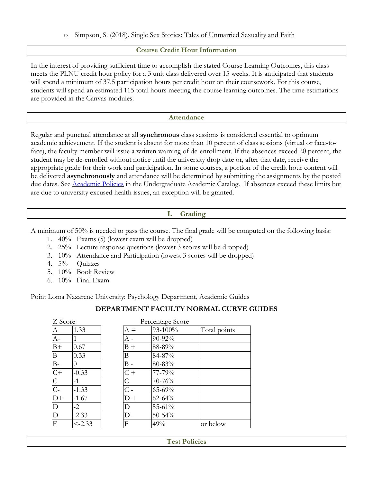## **Course Credit Hour Information**

In the interest of providing sufficient time to accomplish the stated Course Learning Outcomes, this class meets the PLNU credit hour policy for a 3 unit class delivered over 15 weeks. It is anticipated that students will spend a minimum of 37.5 participation hours per credit hour on their coursework. For this course, students will spend an estimated 115 total hours meeting the course learning outcomes. The time estimations are provided in the Canvas modules.

#### **Attendance**

Regular and punctual attendance at all **synchronous** class sessions is considered essential to optimum academic achievement. If the student is absent for more than 10 percent of class sessions (virtual or face-toface), the faculty member will issue a written warning of de-enrollment. If the absences exceed 20 percent, the student may be de-enrolled without notice until the university drop date or, after that date, receive the appropriate grade for their work and participation. In some courses, a portion of the credit hour content will be delivered **asynchronously** and attendance will be determined by submitting the assignments by the posted due dates. See [Academic Policies](https://catalog.pointloma.edu/content.php?catoid=46&navoid=2650#Class_Attendance) in the Undergraduate Academic Catalog. If absences exceed these limits but are due to university excused health issues, an exception will be granted.

## **I. Grading**

A minimum of 50% is needed to pass the course. The final grade will be computed on the following basis:

- 1. 40% Exams (5) (lowest exam will be dropped)
- 2. 25% Lecture response questions (lowest 3 scores will be dropped)
- 3. 10% Attendance and Participation (lowest 3 scores will be dropped)
- 4. 5% Quizzes
- 5. 10% Book Review
- 6. 10% Final Exam

Point Loma Nazarene University: Psychology Department, Academic Guides

# **DEPARTMENT FACULTY NORMAL CURVE GUIDES**

| Z Score                   |           |           | Percentage Score |              |
|---------------------------|-----------|-----------|------------------|--------------|
| А                         | 1.33      | $A =$     | 93-100%          | Total points |
| $A-$                      |           |           | 90-92%           |              |
| $B+$                      | 0.67      | $B +$     | 88-89%           |              |
| B                         | 0.33      | Β         | 84-87%           |              |
| $B-$                      | $\Omega$  | $\rm B$ - | 80-83%           |              |
| $C+$                      | $-0.33$   | $C +$     | 77-79%           |              |
| $\mathsf C$               | $-1$      | C         | 70-76%           |              |
| $\overline{C}$            | $-1.33$   |           | 65-69%           |              |
| $\overline{D+}$           | $-1.67$   | $D +$     | $62 - 64%$       |              |
| D                         | $-2$      | D         | 55-61%           |              |
| $\overline{D}$            | $-2.33$   |           | 50-54%           |              |
| $\boldsymbol{\mathrm{F}}$ | $< -2.33$ | F         | 49%              | or below     |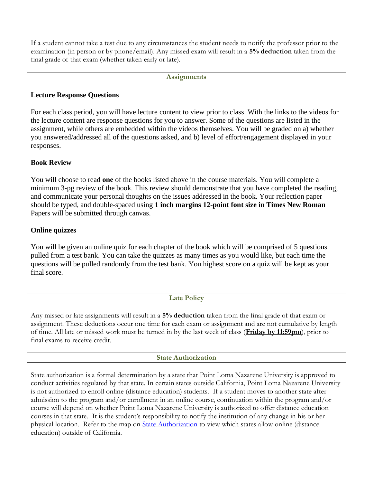If a student cannot take a test due to any circumstances the student needs to notify the professor prior to the examination (in person or by phone/email). Any missed exam will result in a **5% deduction** taken from the final grade of that exam (whether taken early or late).

#### **Assignments**

# **Lecture Response Questions**

For each class period, you will have lecture content to view prior to class. With the links to the videos for the lecture content are response questions for you to answer. Some of the questions are listed in the assignment, while others are embedded within the videos themselves. You will be graded on a) whether you answered/addressed all of the questions asked, and b) level of effort/engagement displayed in your responses.

# **Book Review**

You will choose to read **one** of the books listed above in the course materials. You will complete a minimum 3-pg review of the book. This review should demonstrate that you have completed the reading, and communicate your personal thoughts on the issues addressed in the book. Your reflection paper should be typed, and double-spaced using **1 inch margins 12-point font size in Times New Roman** Papers will be submitted through canvas.

# **Online quizzes**

You will be given an online quiz for each chapter of the book which will be comprised of 5 questions pulled from a test bank. You can take the quizzes as many times as you would like, but each time the questions will be pulled randomly from the test bank. You highest score on a quiz will be kept as your final score.

# **Late Policy**

Any missed or late assignments will result in a **5% deduction** taken from the final grade of that exam or assignment. These deductions occur one time for each exam or assignment and are not cumulative by length of time. All late or missed work must be turned in by the last week of class (**Friday by 11:59pm**), prior to final exams to receive credit.

## **State Authorization**

State authorization is a formal determination by a state that Point Loma Nazarene University is approved to conduct activities regulated by that state. In certain states outside California, Point Loma Nazarene University is not authorized to enroll online (distance education) students. If a student moves to another state after admission to the program and/or enrollment in an online course, continuation within the program and/or course will depend on whether Point Loma Nazarene University is authorized to offer distance education courses in that state. It is the student's responsibility to notify the institution of any change in his or her physical location. Refer to the map on [State Authorization](https://www.pointloma.edu/offices/office-institutional-effectiveness-research/disclosures) to view which states allow online (distance education) outside of California.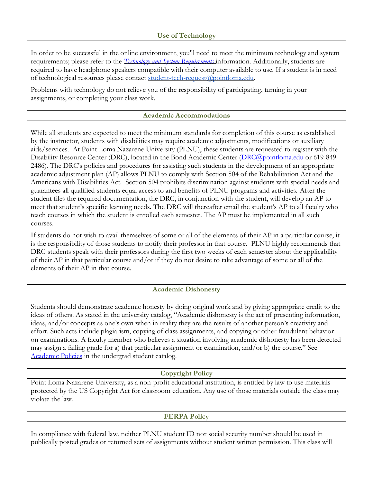## **Use of Technology**

In order to be successful in the online environment, you'll need to meet the minimum technology and system requirements; please refer to the *[Technology and System Requirements](https://help.pointloma.edu/TDClient/1808/Portal/KB/ArticleDet?ID=108349)* information. Additionally, students are required to have headphone speakers compatible with their computer available to use. If a student is in need of technological resources please contact [student-tech-request@pointloma.edu.](mailto:student-tech-request@pointloma.edu)

Problems with technology do not relieve you of the responsibility of participating, turning in your assignments, or completing your class work.

#### **Academic Accommodations**

While all students are expected to meet the minimum standards for completion of this course as established by the instructor, students with disabilities may require academic adjustments, modifications or auxiliary aids/services. At Point Loma Nazarene University (PLNU), these students are requested to register with the Disability Resource Center (DRC), located in the Bond Academic Center [\(DRC@pointloma.edu](mailto:DRC@pointloma.edu) or 619-849-2486). The DRC's policies and procedures for assisting such students in the development of an appropriate academic adjustment plan (AP) allows PLNU to comply with Section 504 of the Rehabilitation Act and the Americans with Disabilities Act. Section 504 prohibits discrimination against students with special needs and guarantees all qualified students equal access to and benefits of PLNU programs and activities. After the student files the required documentation, the DRC, in conjunction with the student, will develop an AP to meet that student's specific learning needs. The DRC will thereafter email the student's AP to all faculty who teach courses in which the student is enrolled each semester. The AP must be implemented in all such courses.

If students do not wish to avail themselves of some or all of the elements of their AP in a particular course, it is the responsibility of those students to notify their professor in that course. PLNU highly recommends that DRC students speak with their professors during the first two weeks of each semester about the applicability of their AP in that particular course and/or if they do not desire to take advantage of some or all of the elements of their AP in that course.

#### **Academic Dishonesty**

Students should demonstrate academic honesty by doing original work and by giving appropriate credit to the ideas of others. As stated in the university catalog, "Academic dishonesty is the act of presenting information, ideas, and/or concepts as one's own when in reality they are the results of another person's creativity and effort. Such acts include plagiarism, copying of class assignments, and copying or other fraudulent behavior on examinations. A faculty member who believes a situation involving academic dishonesty has been detected may assign a failing grade for a) that particular assignment or examination, and/or b) the course." See [Academic Policies](http://www.pointloma.edu/experience/academics/catalogs/undergraduate-catalog/point-loma-education/academic-policies) in the undergrad student catalog.

#### **Copyright Policy**

Point Loma Nazarene University, as a non-profit educational institution, is entitled by law to use materials protected by the US Copyright Act for classroom education. Any use of those materials outside the class may violate the law.

#### **FERPA Policy**

In compliance with federal law, neither PLNU student ID nor social security number should be used in publically posted grades or returned sets of assignments without student written permission. This class will